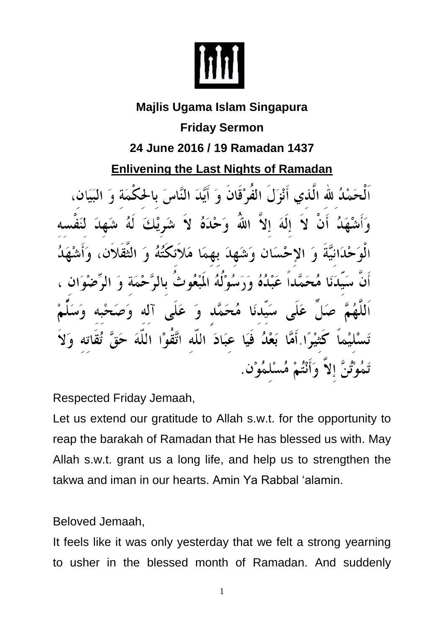

## **Majlis Ugama Islam Singapura Friday Sermon 24 June 2016 / 19 Ramadan 1437 Enlivening the Last Nights of Ramadan** مَمْكُ للّه الَّذي أَنْزَلَ الفُوْقَانَ وَ أَيَّدَ النَّاسَ بِالحَكْمَةِ وَ إِلَٰهَ إِلاَّ اللَّهَ وَحْدَهُ لاَ شَہِ عْلَىٰٓانِیَّة وَ الاحْسَانِ وَشَهِدَ بِهِمَا مَلائِکْتُهُ وَ بْدَنَا مُحَمَّداً عَبْدُهُ وَرَسُوْلَهُ الْمَعْوِثُ بِالرَّ سَيّدنَا مُحَمَّد وَ عَلَى آله عَبَادَ اللَّه اتَّقَوْا اللَّهَ ثيْبِرًا أَمَّا بَعْدُ فَيَا رَّ إِلاَّ وَأَنْتُمْ مُسْلَمُوْنٍ.

Respected Friday Jemaah,

Let us extend our gratitude to Allah s.w.t. for the opportunity to reap the barakah of Ramadan that He has blessed us with. May Allah s.w.t. grant us a long life, and help us to strengthen the takwa and iman in our hearts. Amin Ya Rabbal 'alamin.

Beloved Jemaah,

It feels like it was only yesterday that we felt a strong yearning to usher in the blessed month of Ramadan. And suddenly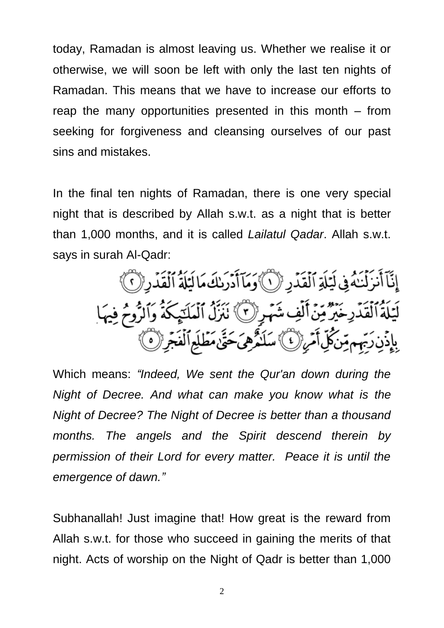today, Ramadan is almost leaving us. Whether we realise it or otherwise, we will soon be left with only the last ten nights of Ramadan. This means that we have to increase our efforts to reap the many opportunities presented in this month – from seeking for forgiveness and cleansing ourselves of our past sins and mistakes.

In the final ten nights of Ramadan, there is one very special night that is described by Allah s.w.t. as a night that is better than 1,000 months, and it is called *Lailatul Qadar*. Allah s.w.t. says in surah Al-Qadr:

إِنَّآ أَنزَلۡنَـٰهُ فِى لَيَلَةِ ٱلۡقَدۡدِ ۚ لَا ٱوۡمَآ أَدۡرَىٰكَ مَا لَيۡلَةُ ٱلۡقَدۡدِ (ۡ ٱ)ْ لَيَلَةُ ٱلْقَدْرِخَيْرٌ مِّنَّ أَلْفِ شَهْرِ إِنَّ ۚ نَبَرَٰلُ ٱلْمَلَيْكَةُ وَٱلزُّومُ فِيهَا بِإِذْنِ رَبِّهِم مِّن كُلِّ أَمْرِ إِنَّ) سَلَنْهُ هِيَ حَتَّىٰ مَطْلَعِ ٱلْفَجِّرِ إِنَّ

Which means: *"Indeed, We sent the Qur'an down during the Night of Decree. And what can make you know what is the Night of Decree? The Night of Decree is better than a thousand months. The angels and the Spirit descend therein by permission of their Lord for every matter. Peace it is until the emergence of dawn."*

Subhanallah! Just imagine that! How great is the reward from Allah s.w.t. for those who succeed in gaining the merits of that night. Acts of worship on the Night of Qadr is better than 1,000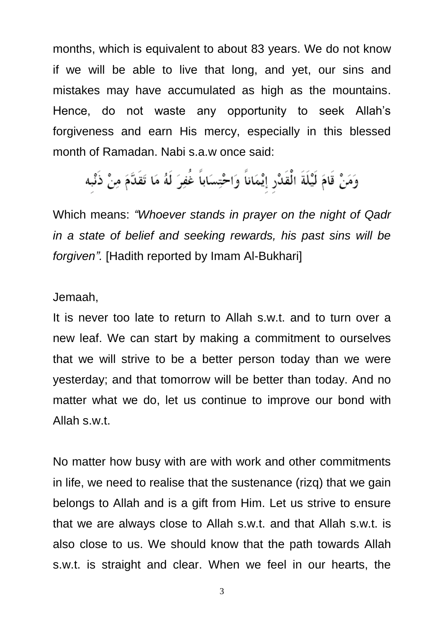months, which is equivalent to about 83 years. We do not know if we will be able to live that long, and yet, our sins and mistakes may have accumulated as high as the mountains. Hence, do not waste any opportunity to seek Allah's forgiveness and earn His mercy, especially in this blessed month of Ramadan. Nabi s.a.w once said:

وَمَنْ قَامَ لَيْلَةَ الْقَدْرِ إِيْمَاناً وَاحْتِسَاباً غُفِرَ لَهُ مَا تَقَدَّمَ مِنْ ذَنْبِه

Which means: *"Whoever stands in prayer on the night of Qadr in a state of belief and seeking rewards, his past sins will be forgiven".* [Hadith reported by Imam Al-Bukhari]

## Jemaah,

It is never too late to return to Allah s.w.t. and to turn over a new leaf. We can start by making a commitment to ourselves that we will strive to be a better person today than we were yesterday; and that tomorrow will be better than today. And no matter what we do, let us continue to improve our bond with Allah s.w.t.

No matter how busy with are with work and other commitments in life, we need to realise that the sustenance (rizq) that we gain belongs to Allah and is a gift from Him. Let us strive to ensure that we are always close to Allah s.w.t. and that Allah s.w.t. is also close to us. We should know that the path towards Allah s.w.t. is straight and clear. When we feel in our hearts, the

3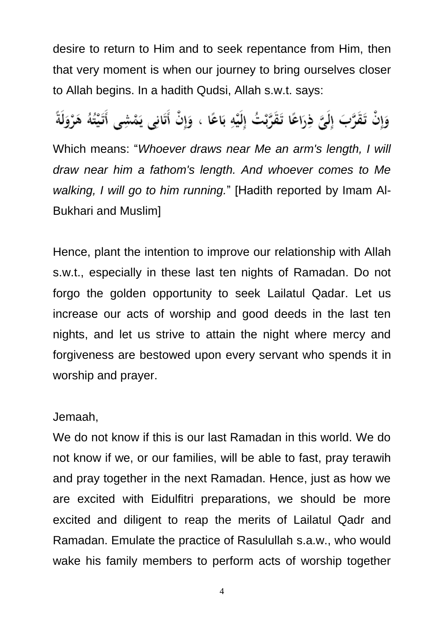desire to return to Him and to seek repentance from Him, then that very moment is when our journey to bring ourselves closer to Allah begins. In a hadith Qudsi, Allah s.w.t. says:

وَإِنْ تَقَرَّبَ إِلَيَّ ذِرَاعًا تَقَرَّبْتُ إِلَيْهِ بَاعًا ، وَإِنْ أَتَانِي يَمْشِي أَتَيْتُهُ هَرْوَلَةً

Which means: "*Whoever draws near Me an arm's length, I will draw near him a fathom's length. And whoever comes to Me walking, I will go to him running.*" [Hadith reported by Imam Al-Bukhari and Muslim]

Hence, plant the intention to improve our relationship with Allah s.w.t., especially in these last ten nights of Ramadan. Do not forgo the golden opportunity to seek Lailatul Qadar. Let us increase our acts of worship and good deeds in the last ten nights, and let us strive to attain the night where mercy and forgiveness are bestowed upon every servant who spends it in worship and prayer.

## Jemaah,

We do not know if this is our last Ramadan in this world. We do not know if we, or our families, will be able to fast, pray terawih and pray together in the next Ramadan. Hence, just as how we are excited with Eidulfitri preparations, we should be more excited and diligent to reap the merits of Lailatul Qadr and Ramadan. Emulate the practice of Rasulullah s.a.w., who would wake his family members to perform acts of worship together

4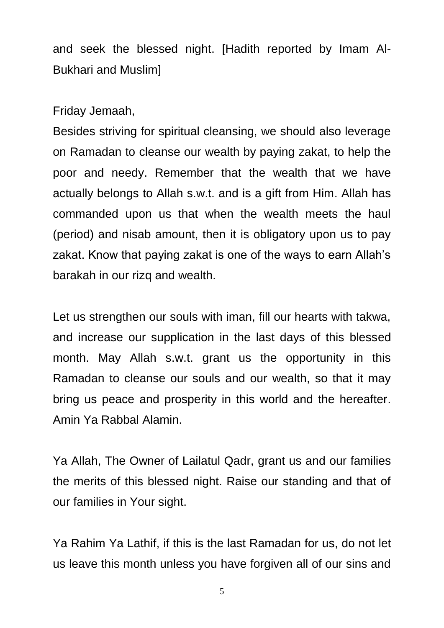and seek the blessed night. [Hadith reported by Imam Al-Bukhari and Muslim]

Friday Jemaah,

Besides striving for spiritual cleansing, we should also leverage on Ramadan to cleanse our wealth by paying zakat, to help the poor and needy. Remember that the wealth that we have actually belongs to Allah s.w.t. and is a gift from Him. Allah has commanded upon us that when the wealth meets the haul (period) and nisab amount, then it is obligatory upon us to pay zakat. Know that paying zakat is one of the ways to earn Allah's barakah in our rizq and wealth.

Let us strengthen our souls with iman, fill our hearts with takwa, and increase our supplication in the last days of this blessed month. May Allah s.w.t. grant us the opportunity in this Ramadan to cleanse our souls and our wealth, so that it may bring us peace and prosperity in this world and the hereafter. Amin Ya Rabbal Alamin.

Ya Allah, The Owner of Lailatul Qadr, grant us and our families the merits of this blessed night. Raise our standing and that of our families in Your sight.

Ya Rahim Ya Lathif, if this is the last Ramadan for us, do not let us leave this month unless you have forgiven all of our sins and

5